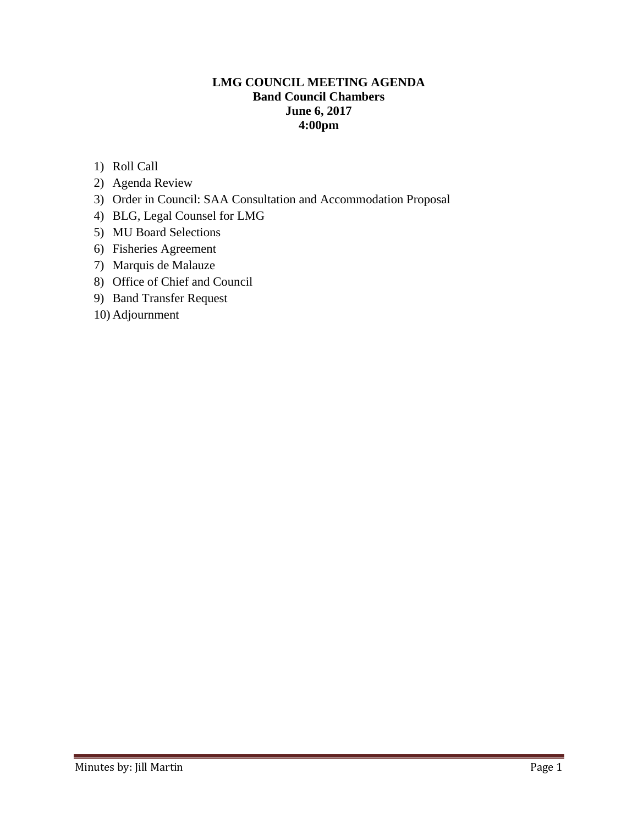## **LMG COUNCIL MEETING AGENDA Band Council Chambers June 6, 2017 4:00pm**

- 1) Roll Call
- 2) Agenda Review
- 3) Order in Council: SAA Consultation and Accommodation Proposal
- 4) BLG, Legal Counsel for LMG
- 5) MU Board Selections
- 6) Fisheries Agreement
- 7) Marquis de Malauze
- 8) Office of Chief and Council
- 9) Band Transfer Request
- 10) Adjournment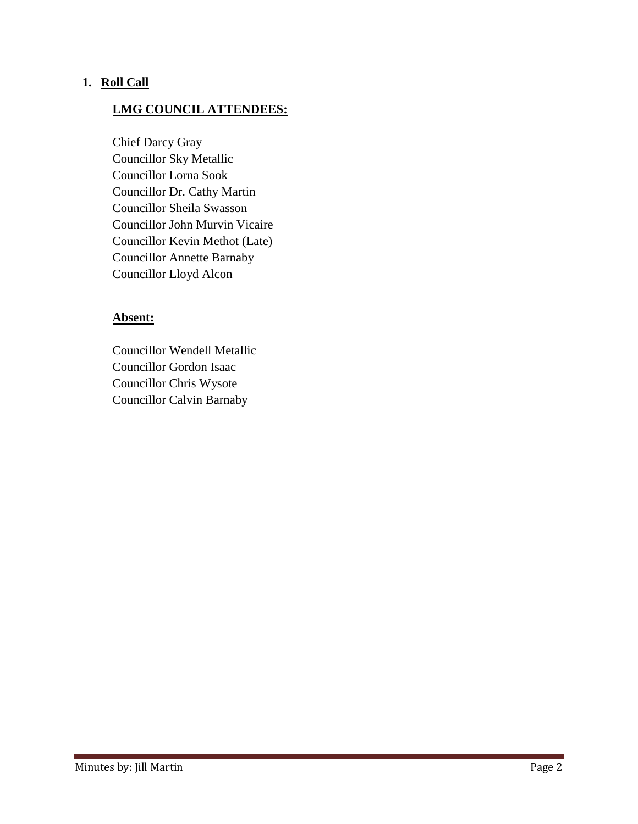### **1. Roll Call**

### **LMG COUNCIL ATTENDEES:**

Chief Darcy Gray Councillor Sky Metallic Councillor Lorna Sook Councillor Dr. Cathy Martin Councillor Sheila Swasson Councillor John Murvin Vicaire Councillor Kevin Methot (Late) Councillor Annette Barnaby Councillor Lloyd Alcon

### **Absent:**

Councillor Wendell Metallic Councillor Gordon Isaac Councillor Chris Wysote Councillor Calvin Barnaby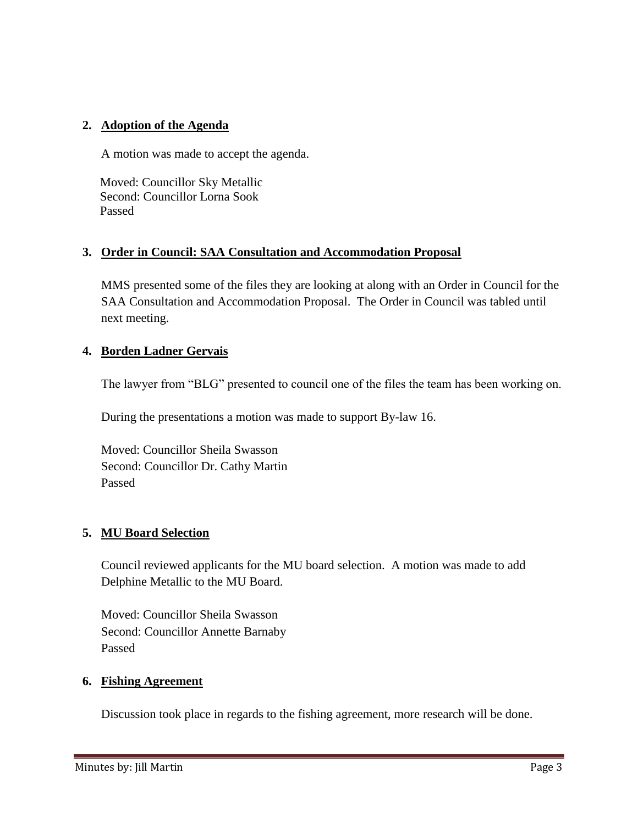# **2. Adoption of the Agenda**

A motion was made to accept the agenda.

 Moved: Councillor Sky Metallic Second: Councillor Lorna Sook Passed

### **3. Order in Council: SAA Consultation and Accommodation Proposal**

MMS presented some of the files they are looking at along with an Order in Council for the SAA Consultation and Accommodation Proposal. The Order in Council was tabled until next meeting.

### **4. Borden Ladner Gervais**

The lawyer from "BLG" presented to council one of the files the team has been working on.

During the presentations a motion was made to support By-law 16.

Moved: Councillor Sheila Swasson Second: Councillor Dr. Cathy Martin Passed

### **5. MU Board Selection**

Council reviewed applicants for the MU board selection. A motion was made to add Delphine Metallic to the MU Board.

Moved: Councillor Sheila Swasson Second: Councillor Annette Barnaby Passed

### **6. Fishing Agreement**

Discussion took place in regards to the fishing agreement, more research will be done.